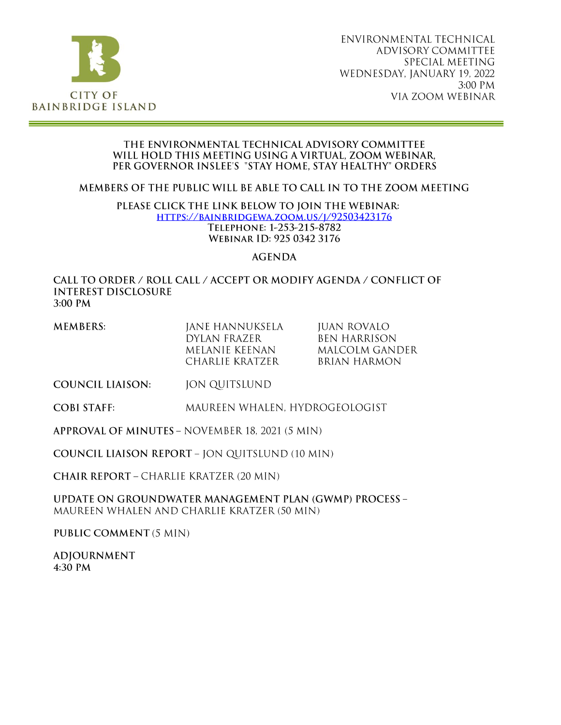

### THE ENVIRONMENTAL TECHNICAL ADVISORY COMMITTEE WILL HOLD THIS MEETING USING A VIRTUAL, ZOOM WEBINAR. PER GOVERNOR INSLEE'S "STAY HOME, STAY HEALTHY" ORDERS

MEMBERS OF THE PUBLIC WILL BE ABLE TO CALL IN TO THE ZOOM MEETING

### PLEASE CLICK THE LINK BELOW TO JOIN THE WEBINAR: HTTPS://BAINBRIDGEWA.ZOOM.US/I/92503423176 TELEPHONE: 1-253-215-8782 WEBINAR ID: 925 0342 3176

## **AGENDA**

### CALL TO ORDER / ROLL CALL / ACCEPT OR MODIFY AGENDA / CONFLICT OF **INTEREST DISCLOSURE** 3:00 PM

| MEMBERS: | JANE HANNUKSELA | juan rovalo      |
|----------|-----------------|------------------|
|          | DYLAN FRAZER    | BEN HARRISON.    |
|          | MELANIE KEENAN  | - MALCOLM GANDER |
|          | CHARLIE KRATZER | BRIAN HARMON     |

- **COUNCIL LIAISON: JON QUITSLUND**
- **COBI STAFF:** MAUREEN WHALEN, HYDROGEOLOGIST

APPROVAL OF MINUTES - NOVEMBER 18, 2021 (5 MIN)

**COUNCIL LIAISON REPORT - JON QUITSLUND (10 MIN)** 

**CHAIR REPORT - CHARLIE KRATZER (20 MIN)** 

**UPDATE ON GROUNDWATER MANAGEMENT PLAN (GWMP) PROCESS -**MAUREEN WHALEN AND CHARLIE KRATZER (50 MIN)

PUBLIC COMMENT (5 MIN)

**ADJOURNMENT** 4:30 PM